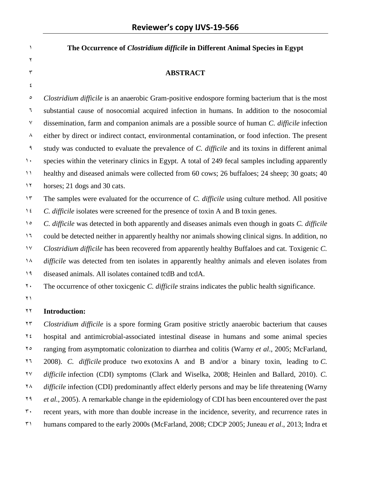**The Occurrence of** *Clostridium difficile* **in Different Animal Species in Egypt**  $\mathbf{r}$ r **ABSTRACT**  $\pmb{\xi}$  *Clostridium difficile* is an anaerobic Gram-positive endospore forming bacterium that is the most substantial cause of nosocomial acquired infection in humans. In addition to the nosocomial dissemination, farm and companion animals are a possible source of human *C. difficile* infection  $\lambda$  either by direct or indirect contact, environmental contamination, or food infection. The present study was conducted to evaluate the prevalence of *C. difficile* and its toxins in different animal 1. species within the veterinary clinics in Egypt. A total of 249 fecal samples including apparently healthy and diseased animals were collected from 60 cows; 26 buffaloes; 24 sheep; 30 goats; 40 1<sup>1</sup> horses; 21 dogs and 30 cats. <sup>14</sup> The samples were evaluated for the occurrence of *C. difficile* using culture method. All positive *C. difficile* isolates were screened for the presence of toxin A and B toxin genes. *C. difficile* was detected in both apparently and diseases animals even though in goats *C. difficile* 11 could be detected neither in apparently healthy nor animals showing clinical signs. In addition, no

 *Clostridium difficile* has been recovered from apparently healthy Buffaloes and cat. Toxigenic *C. difficile* was detected from ten isolates in apparently healthy animals and eleven isolates from diseased animals. All isolates contained tcdB and tcdA.

The occurrence of other toxicgenic *C. difficile* strains indicates the public health significance.

 $\gamma$ 

## **Introduction:**

 *Clostridium difficile* is a spore forming Gram positive strictly anaerobic bacterium that causes hospital and antimicrobial-associated intestinal disease in humans and some animal species ranging from asymptomatic colonization to diarrhea and colitis (Warny *et al*., 2005; McFarland, 2008). *C. difficile* produce two exotoxins A and B and/or a binary toxin, leading to *C. difficile* infection (CDI) symptoms (Clark and Wiselka, 2008; Heinlen and Ballard, 2010). *C. difficile* infection (CDI) predominantly affect elderly persons and may be life threatening (Warny *et al.*, 2005). A remarkable change in the epidemiology of CDI has been encountered over the past <sup>5</sup> recent years, with more than double increase in the incidence, severity, and recurrence rates in humans compared to the early 2000s (McFarland, 2008; CDCP 2005; Juneau *et al*., 2013; Indra et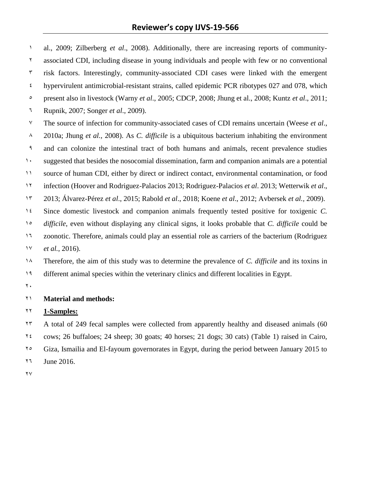al., 2009; Zilberberg *et al*., 2008). Additionally, there are increasing reports of community- associated CDI, including disease in young individuals and people with few or no conventional  $\frac{3}{2}$  risk factors. Interestingly, community-associated CDI cases were linked with the emergent  $\epsilon$  hypervirulent antimicrobial-resistant strains, called epidemic PCR ribotypes 027 and 078, which present also in livestock (Warny *et al*., 2005; CDCP, 2008; Jhung et al., 2008; Kuntz *et al*., 2011; Rupnik, 2007; Songer *et al*., 2009). The source of infection for community-associated cases of CDI remains uncertain (Weese *et al*., 2010a; Jhung *et al.,* 2008). As *C. difficile* is a ubiquitous bacterium inhabiting the environment and can colonize the intestinal tract of both humans and animals, recent prevalence studies suggested that besides the nosocomial dissemination, farm and companion animals are a potential source of human CDI, either by direct or indirect contact, environmental contamination, or food infection (Hoover and Rodriguez-Palacios 2013; Rodriguez-Palacios *et al*. 2013; Wetterwik *et al*., 2013; Álvarez-Pérez *et al*., 2015; Rabold *et al*., 2018; Koene *et al*., 2012; Avbersek *et al.,* 2009). Since domestic livestock and companion animals frequently tested positive for toxigenic *C. difficile*, even without displaying any clinical signs, it looks probable that *C. difficile* could be 11 zoonotic. Therefore, animals could play an essential role as carriers of the bacterium (Rodriguez *et al.*, 2016). Therefore, the aim of this study was to determine the prevalence of *C. difficile* and its toxins in different animal species within the veterinary clinics and different localities in Egypt.

 $\mathbf{y}$ .

## **Material and methods:**

#### **1-Samples:**

 A total of 249 fecal samples were collected from apparently healthy and diseased animals (60 cows; 26 buffaloes; 24 sheep; 30 goats; 40 horses; 21 dogs; 30 cats) (Table 1) raised in Cairo, Giza, Ismailia and El-fayoum governorates in Egypt, during the period between January 2015 to 11 June 2016.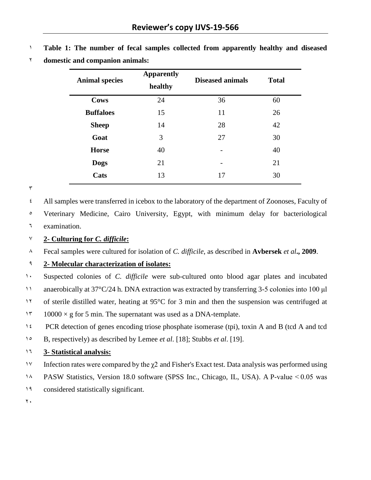| <b>Animal species</b> | <b>Apparently</b><br>healthy | <b>Diseased animals</b> | <b>Total</b> |  |
|-----------------------|------------------------------|-------------------------|--------------|--|
| <b>Cows</b>           | 24                           | 36                      | 60           |  |
| <b>Buffaloes</b>      | 15                           | 11                      | 26           |  |
| <b>Sheep</b>          | 14                           | 28                      | 42           |  |
| Goat                  | 3                            | 27                      | 30           |  |
| <b>Horse</b>          | 40                           |                         | 40           |  |
| <b>Dogs</b>           | 21                           |                         | 21           |  |
| Cats                  | 13                           | 17                      | 30           |  |

1 **Table 1: The number of fecal samples collected from apparently healthy and diseased**  2 **domestic and companion animals:**

 $\mathbf r$ 

4 All samples were transferred in icebox to the laboratory of the department of Zoonoses, Faculty of

5 Veterinary Medicine, Cairo University, Egypt, with minimum delay for bacteriological 6 examination.

## 7 **2- Culturing for** *C. difficile***:**

8 Fecal samples were cultured for isolation of *C. difficile*, as described in **Avbersek** *et al***., 2009**.

# 9 **2- Molecular characterization of isolates:**

1. Suspected colonies of *C. difficile* were sub-cultured onto blood agar plates and incubated

11 anaerobically at 37°C/24 h. DNA extraction was extracted by transferring 3-5 colonies into 100 μl

12 of sterile distilled water, heating at 95°C for 3 min and then the suspension was centrifuged at

1 $\frac{10000 \times g}{2}$  for 5 min. The supernatant was used as a DNA-template.

14 PCR detection of genes encoding triose phosphate isomerase (tpi), toxin A and B (tcd A and tcd

15 B, respectively) as described by Lemee *et al*. [18]; Stubbs *et al*. [19].

## 16 **3- Statistical analysis:**

- 17 Infection rates were compared by the χ2 and Fisher's Exact test. Data analysis was performed using
- 18 PASW Statistics, Version 18.0 software (SPSS Inc., Chicago, IL, USA). A P-value < 0.05 was
- 19 considered statistically significant.

 $\mathbf{y}$ .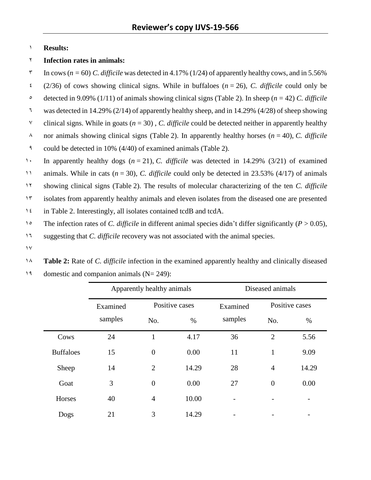## 1 **Results:**

## 2 **Infection rates in animals:**

 $\frac{\pi}{100}$  In cows ( $n = 60$ ) *C. difficile* was detected in 4.17% (1/24) of apparently healthy cows, and in 5.56%  $\frac{2}{36}$  of cows showing clinical signs. While in buffaloes ( $n = 26$ ), *C. difficile* could only be 5 detected in 9.09% (1/11) of animals showing clinical signs (Table [2\)](https://www.ncbi.nlm.nih.gov/pmc/articles/PMC4788955/table/Tab2/). In sheep (*n* = 42) *C. difficile* <sup>1</sup> was detected in 14.29% (2/14) of apparently healthy sheep, and in 14.29% (4/28) of sheep showing <sup> $\gamma$ </sup> clinical signs. While in goats ( $n = 30$ ), *C. difficile* could be detected neither in apparently healthy  $\lambda$  nor animals showing clinical signs (Table [2\)](https://www.ncbi.nlm.nih.gov/pmc/articles/PMC4788955/table/Tab2/). In apparently healthy horses ( $n = 40$ ), *C. difficile* 9 could be detected in 10% (4/40) of examined animals (Table [2\)](https://www.ncbi.nlm.nih.gov/pmc/articles/PMC4788955/table/Tab2/). 1. In apparently healthy dogs  $(n = 21)$ , *C. difficile* was detected in 14.29% (3/21) of examined 11 animals. While in cats (*n* = 30), *C. difficile* could only be detected in 23.53% (4/17) of animals 12 showing clinical signs (Table [2\)](https://www.ncbi.nlm.nih.gov/pmc/articles/PMC4788955/table/Tab2/). The results of molecular characterizing of the ten *C. difficile* 13 isolates from apparently healthy animals and eleven isolates from the diseased one are presented 14 in Table 2. Interestingly, all isolates contained tcdB and tcdA.

- 1<sup>o</sup> The infection rates of *C. difficile* in different animal species didn't differ significantly (*P* > 0.05),
- 11 suggesting that *C. difficile* recovery was not associated with the animal species.
- $\gamma$
- 18 **Table 2:** Rate of *C. difficile* infection in the examined apparently healthy and clinically diseased 19 domestic and companion animals  $(N= 249)$ :

|                  | Apparently healthy animals |                  | Diseased animals |          |                |       |
|------------------|----------------------------|------------------|------------------|----------|----------------|-------|
|                  | Examined                   | Positive cases   |                  | Examined | Positive cases |       |
|                  | samples                    | No.              | $\%$             | samples  | No.            | %     |
| Cows             | 24                         | $\mathbf{1}$     | 4.17             | 36       | $\overline{2}$ | 5.56  |
| <b>Buffaloes</b> | 15                         | $\boldsymbol{0}$ | 0.00             | 11       | $\mathbf{1}$   | 9.09  |
| Sheep            | 14                         | $\overline{2}$   | 14.29            | 28       | $\overline{4}$ | 14.29 |
| Goat             | 3                          | $\overline{0}$   | 0.00             | 27       | $\overline{0}$ | 0.00  |
| Horses           | 40                         | $\overline{4}$   | 10.00            | -        |                |       |
| Dogs             | 21                         | 3                | 14.29            |          |                |       |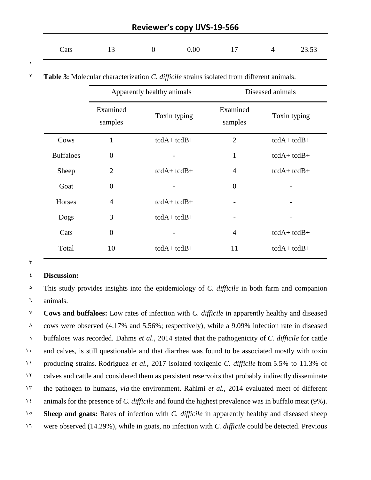| Cats |  | 13 0 0.00 17 4 23.53 |  |  |
|------|--|----------------------|--|--|
|      |  |                      |  |  |

1

2 **Table 3:** Molecular characterization *C. difficile* strains isolated from different animals.

|                  | Apparently healthy animals |                 | Diseased animals    |                 |  |
|------------------|----------------------------|-----------------|---------------------|-----------------|--|
|                  | Examined<br>samples        | Toxin typing    | Examined<br>samples | Toxin typing    |  |
| Cows             | 1                          | $tcdA + tcdB +$ | $\overline{2}$      | $tcdA + tcdB +$ |  |
| <b>Buffaloes</b> | $\Omega$                   |                 | $\mathbf{1}$        | $tcdA + tcdB +$ |  |
| Sheep            | $\overline{2}$             | $tcdA + tcdB +$ | $\overline{4}$      | $tcdA + tcdB +$ |  |
| Goat             | $\Omega$                   |                 | $\overline{0}$      |                 |  |
| Horses           | $\overline{4}$             | $tcdA + tcdB +$ |                     |                 |  |
| Dogs             | 3                          | $tcdA + tcdB +$ |                     |                 |  |
| Cats             | $\theta$                   |                 | $\overline{4}$      | $tcdA + tcdB +$ |  |
| Total            | 10                         | $tcdA + tcdB +$ | 11                  | $tcdA + tcdB +$ |  |

#### $\overline{\mathbf{y}}$

#### 4 **Discussion:**

5 This study provides insights into the epidemiology of *C. difficile* in both farm and companion 6 animals.

 **Cows and buffaloes:** Low rates of infection with *C. difficile* in apparently healthy and diseased cows were observed (4.17% and 5.56%; respectively), while a 9.09% infection rate in diseased buffaloes was recorded. Dahms *et al*., 2014 stated that the pathogenicity of *C. difficile* for cattle 1. and calves, is still questionable and that diarrhea was found to be associated mostly with toxin producing strains. Rodriguez *et al.*, 2017 isolated toxigenic *C. difficile* from 5.5% to 11.3% of calves and cattle and considered them as persistent reservoirs that probably indirectly disseminate the pathogen to humans, *via* the environment. Rahimi *et al.*, 2014 evaluated meet of different animals for the presence of *C. difficile* and found the highest prevalence was in buffalo meat (9%). **Sheep and goats:** Rates of infection with *C. difficile* in apparently healthy and diseased sheep 11 were observed (14.29%), while in goats, no infection with *C. difficile* could be detected. Previous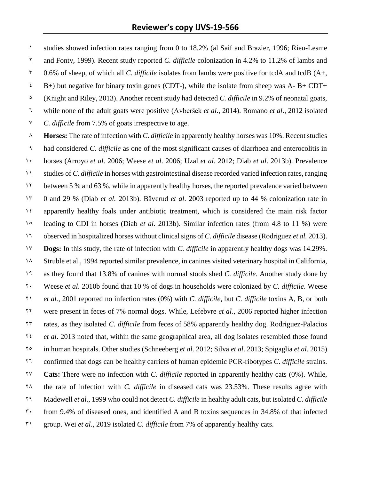studies showed infection rates ranging from 0 to 18.2% (al Saif and Brazier, 1996; Rieu-Lesme and Fonty, 1999). Recent study reported *C. difficile* colonization in 4.2% to 11.2% of lambs and 0.6% of sheep, of which all *C. difficile* isolates from lambs were positive for tcdA and tcdB (A+,  $\epsilon$  B+) but negative for binary toxin genes (CDT-), while the isolate from sheep was A- B+ CDT+ (Knight and Riley, 2013). Another recent study had detected *C. difficile* in 9.2% of neonatal goats, while none of the adult goats were positive (Avberšek *et al*., 2014). Romano *et al*., 2012 isolated *C. difficile* from 7.5% of goats irrespective to age.

 **Horses:** The rate of infection with *C. difficile* in apparently healthy horses was 10%. Recent studies had considered *C. difficile* as one of the most significant causes of diarrhoea and enterocolitis in horses (Arroyo *et al*. 2006; Weese *et al*. 2006; Uzal *et al*. 2012; Diab *et al*. 2013b). Prevalence studies of *C. difficile* in horses with gastrointestinal disease recorded varied infection rates, ranging between 5 % and 63 %, while in apparently healthy horses, the reported prevalence varied between 0 and 29 % (Diab *et al.* 2013b). Båverud *et al*. 2003 reported up to 44 % colonization rate in apparently healthy foals under antibiotic treatment, which is considered the main risk factor leading to CDI in horses (Diab *et al*. 2013b). Similar infection rates (from 4.8 to 11 %) were observed in hospitalized horses without clinical signs of *C. difficile* disease (Rodriguez *et al.* 2013). **Dogs:** In this study, the rate of infection with *C. difficile* in apparently healthy dogs was 14.29%. Struble et al., 1994 reported similar prevalence, in canines visited veterinary hospital in California, as they found that 13.8% of canines with normal stools shed *C. difficile*. Another study done by Weese *et al*. 2010b found that 10 % of dogs in households were colonized by *C. difficile*. Weese *et al.*, 2001 reported no infection rates (0%) with *C. difficile*, but *C. difficile* toxins A, B, or both were present in feces of 7% normal dogs. While, Lefebvre *et al.*, 2006 reported higher infection rates, as they isolated *C. difficile* from feces of 58% apparently healthy dog. Rodriguez-Palacios *et al*. 2013 noted that, within the same geographical area, all dog isolates resembled those found in human hospitals. Other studies (Schneeberg *et al*. 2012; Silva *et al*. 2013; Spigaglia *et al.* 2015) confirmed that dogs can be healthy carriers of human epidemic PCR-ribotypes *C*. *difficile* strains. **Cats:** There were no infection with *C. difficile* reported in apparently healthy cats (0%). While, the rate of infection with *C. difficile* in diseased cats was 23.53%. These results agree with Madewell *et al.*, 1999 who could not detect *C. difficile* in healthy adult cats, but isolated *C. difficile* from 9.4% of diseased ones, and identified A and B toxins sequences in 34.8% of that infected group. Wei *et al*., 2019 isolated *C. difficile* from 7% of apparently healthy cats.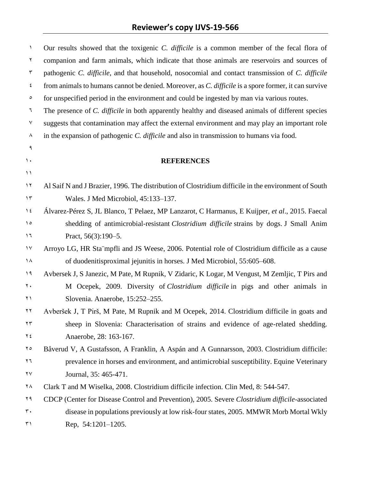| $\lambda$         | Our results showed that the toxigenic C. difficile is a common member of the fecal flora of          |
|-------------------|------------------------------------------------------------------------------------------------------|
| ٢                 | companion and farm animals, which indicate that those animals are reservoirs and sources of          |
| ٣                 | pathogenic C. difficile, and that household, nosocomial and contact transmission of C. difficile     |
| ٤                 | from animals to humans cannot be denied. Moreover, as C. difficile is a spore former, it can survive |
| $\circ$           | for unspecified period in the environment and could be ingested by man via various routes.           |
| ٦                 | The presence of C. difficile in both apparently healthy and diseased animals of different species    |
| ٧                 | suggests that contamination may affect the external environment and may play an important role       |
| ٨                 | in the expansion of pathogenic C. difficile and also in transmission to humans via food.             |
| ٩                 |                                                                                                      |
| $\mathcal{N}$     | <b>REFERENCES</b>                                                                                    |
| $\setminus$       |                                                                                                      |
| $\lambda$         | Al Saif N and J Brazier, 1996. The distribution of Clostridium difficile in the environment of South |
| $\gamma \tau$     | Wales. J Med Microbiol, 45:133-137.                                                                  |
| $\lambda$ {       | Álvarez-Pérez S, JL Blanco, T Pelaez, MP Lanzarot, C Harmanus, E Kuijper, et al., 2015. Faecal       |
| $\Omega$          | shedding of antimicrobial-resistant Clostridium difficile strains by dogs. J Small Anim              |
| ۱٦                | Pract, $56(3):190-5$ .                                                                               |
| $\lambda$         | Arroyo LG, HR Sta mpfli and JS Weese, 2006. Potential role of Clostridium difficile as a cause       |
| ١٨                | of duodenitisproximal jejunitis in horses. J Med Microbiol, 55:605–608.                              |
| 19                | Avbersek J, S Janezic, M Pate, M Rupnik, V Zidaric, K Logar, M Vengust, M Zemljic, T Pirs and        |
| ۲.                | M Ocepek, 2009. Diversity of Clostridium difficile in pigs and other animals in                      |
| ۲۱                | Slovenia. Anaerobe, 15:252-255.                                                                      |
| ۲۲                | Avberšek J, T Pirš, M Pate, M Rupnik and M Ocepek, 2014. Clostridium difficile in goats and          |
| $\mathbf{y}$      | sheep in Slovenia: Characterisation of strains and evidence of age-related shedding.                 |
| ۲٤                | Anaerobe, 28: 163-167.                                                                               |
| $\mathbf{y}$      | Båverud V, A Gustafsson, A Franklin, A Aspán and A Gunnarsson, 2003. Clostridium difficile:          |
| ۲٦                | prevalence in horses and environment, and antimicrobial susceptibility. Equine Veterinary            |
| ٢٧                | Journal, 35: 465-471.                                                                                |
| ۲٨                | Clark T and M Wiselka, 2008. Clostridium difficile infection. Clin Med, 8: 544-547.                  |
| ۲۹                | CDCP (Center for Disease Control and Prevention), 2005. Severe Clostridium difficile-associated      |
| $\mathsf{r}\cdot$ | disease in populations previously at low risk-four states, 2005. MMWR Morb Mortal Wkly               |
| ٣١                | Rep. 54:1201-1205.                                                                                   |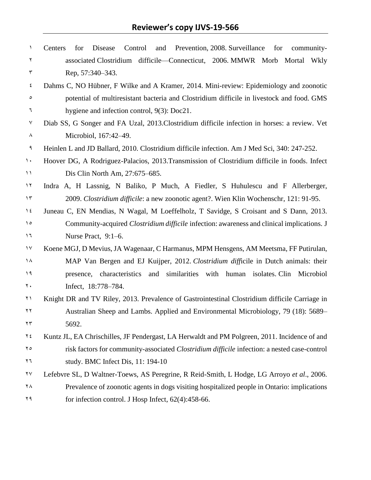| ١                          | Prevention, 2008. Surveillance for<br>Centers<br>for<br>Disease<br>Control<br>and<br>community- |
|----------------------------|-------------------------------------------------------------------------------------------------|
| ٢                          | associated Clostridium difficile-Connecticut, 2006. MMWR Morb Mortal Wkly                       |
| ٣                          | Rep. 57:340-343.                                                                                |
| ٤                          | Dahms C, NO Hübner, F Wilke and A Kramer, 2014. Mini-review: Epidemiology and zoonotic          |
| $\circ$                    | potential of multiresistant bacteria and Clostridium difficile in livestock and food. GMS       |
| ٦                          | hygiene and infection control, $9(3)$ : Doc21.                                                  |
| ٧                          | Diab SS, G Songer and FA Uzal, 2013. Clostridium difficile infection in horses: a review. Vet   |
| ٨                          | Microbiol, 167:42-49.                                                                           |
| ٩                          | Heinlen L and JD Ballard, 2010. Clostridium difficile infection. Am J Med Sci, 340: 247-252.    |
| $\lambda$                  | Hoover DG, A Rodriguez-Palacios, 2013. Transmission of Clostridium difficile in foods. Infect   |
| $\mathcal{L}$              | Dis Clin North Am, 27:675–685.                                                                  |
| $\lambda$                  | Indra A, H Lassnig, N Baliko, P Much, A Fiedler, S Huhulescu and F Allerberger,                 |
| $\gamma$                   | 2009. <i>Clostridium difficile</i> : a new zoonotic agent?. Wien Klin Wochenschr, 121: 91-95.   |
| $\lambda$ {                | Juneau C, EN Mendias, N Wagal, M Loeffelholz, T Savidge, S Croisant and S Dann, 2013.           |
| $\lambda$                  | Community-acquired Clostridium difficile infection: awareness and clinical implications. J      |
| ۱٦                         | Nurse Pract, 9:1–6.                                                                             |
| $\gamma \gamma$            | Koene MGJ, D Mevius, JA Wagenaar, C Harmanus, MPM Hensgens, AM Meetsma, FF Putirulan,           |
| ۱۸                         | MAP Van Bergen and EJ Kuijper, 2012. Clostridium difficile in Dutch animals: their              |
| ۱۹                         | presence, characteristics and<br>similarities with human isolates. Clin<br>Microbiol            |
| ۲.                         | Infect, 18:778-784.                                                                             |
| ۲۱                         | Knight DR and TV Riley, 2013. Prevalence of Gastrointestinal Clostridium difficile Carriage in  |
| ۲۲                         | Australian Sheep and Lambs. Applied and Environmental Microbiology, 79 (18): 5689–              |
| $\mathbf{Y} \, \mathbf{Y}$ | 5692.                                                                                           |
| ۲٤                         | Kuntz JL, EA Chrischilles, JF Pendergast, LA Herwaldt and PM Polgreen, 2011. Incidence of and   |
| ۲٥                         | risk factors for community-associated Clostridium difficile infection: a nested case-control    |
| ۲٦                         | study. BMC Infect Dis, 11: 194-10                                                               |
| ۲۷                         | Lefebvre SL, D Waltner-Toews, AS Peregrine, R Reid-Smith, L Hodge, LG Arroyo et al., 2006.      |
| ۲٨                         | Prevalence of zoonotic agents in dogs visiting hospitalized people in Ontario: implications     |
| ۲۹                         | for infection control. J Hosp Infect, 62(4):458-66.                                             |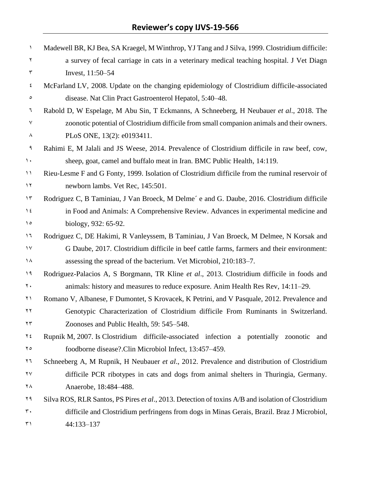| ١                             | Madewell BR, KJ Bea, SA Kraegel, M Winthrop, YJ Tang and J Silva, 1999. Clostridium difficile:     |
|-------------------------------|----------------------------------------------------------------------------------------------------|
| ٢                             | a survey of fecal carriage in cats in a veterinary medical teaching hospital. J Vet Diagn          |
| $\mathbf{\breve{\mathsf{r}}}$ | Invest, 11:50-54                                                                                   |
| ٤                             | McFarland LV, 2008. Update on the changing epidemiology of Clostridium difficile-associated        |
| ٥                             | disease. Nat Clin Pract Gastroenterol Hepatol, 5:40–48.                                            |
| ٦                             | Rabold D, W Espelage, M Abu Sin, T Eckmanns, A Schneeberg, H Neubauer et al., 2018. The            |
| $\mathsf{V}$                  | zoonotic potential of Clostridium difficile from small companion animals and their owners.         |
| ٨                             | PLoS ONE, 13(2): e0193411.                                                                         |
| ٩                             | Rahimi E, M Jalali and JS Weese, 2014. Prevalence of Clostridium difficile in raw beef, cow,       |
| $\mathcal{N}$ .               | sheep, goat, camel and buffalo meat in Iran. BMC Public Health, 14:119.                            |
| $\setminus$                   | Rieu-Lesme F and G Fonty, 1999. Isolation of Clostridium difficile from the ruminal reservoir of   |
| $\gamma \gamma$               | newborn lambs. Vet Rec, 145:501.                                                                   |
| $\gamma \tau$                 | Rodriguez C, B Taminiau, J Van Broeck, M Delme' e and G. Daube, 2016. Clostridium difficile        |
| $\lambda$ {                   | in Food and Animals: A Comprehensive Review. Advances in experimental medicine and                 |
| $\lambda$                     | biology, 932: 65-92.                                                                               |
| $\lambda$                     | Rodriguez C, DE Hakimi, R Vanleyssem, B Taminiau, J Van Broeck, M Delmee, N Korsak and             |
| $\gamma \gamma$               | G Daube, 2017. Clostridium difficile in beef cattle farms, farmers and their environment:          |
| ١٨                            | assessing the spread of the bacterium. Vet Microbiol, 210:183–7.                                   |
| $\eta$                        | Rodriguez-Palacios A, S Borgmann, TR Kline et al., 2013. Clostridium difficile in foods and        |
| $\mathbf{y}$ .                | animals: history and measures to reduce exposure. Anim Health Res Rev, 14:11-29.                   |
| ۲۱                            | Romano V, Albanese, F Dumontet, S Krovacek, K Petrini, and V Pasquale, 2012. Prevalence and        |
| ۲۲                            | Genotypic Characterization of Clostridium difficile From Ruminants in Switzerland.                 |
| $\gamma \tau$                 | Zoonoses and Public Health, 59: 545–548.                                                           |
| ۲٤                            | Rupnik M, 2007. Is Clostridium difficile-associated infection a potentially zoonotic<br>and        |
| ۲٥                            | foodborne disease?.Clin Microbiol Infect, 13:457–459.                                              |
| ۲٦                            | Schneeberg A, M Rupnik, H Neubauer et al., 2012. Prevalence and distribution of Clostridium        |
| ۲۷                            | difficile PCR ribotypes in cats and dogs from animal shelters in Thuringia, Germany.               |
| ٢٨                            | Anaerobe, 18:484-488.                                                                              |
| ۲۹                            | Silva ROS, RLR Santos, PS Pires et al., 2013. Detection of toxins A/B and isolation of Clostridium |
| $\mathsf{r}\cdot$             | difficile and Clostridium perfringens from dogs in Minas Gerais, Brazil. Braz J Microbiol,         |
| ٣١                            | 44:133-137                                                                                         |